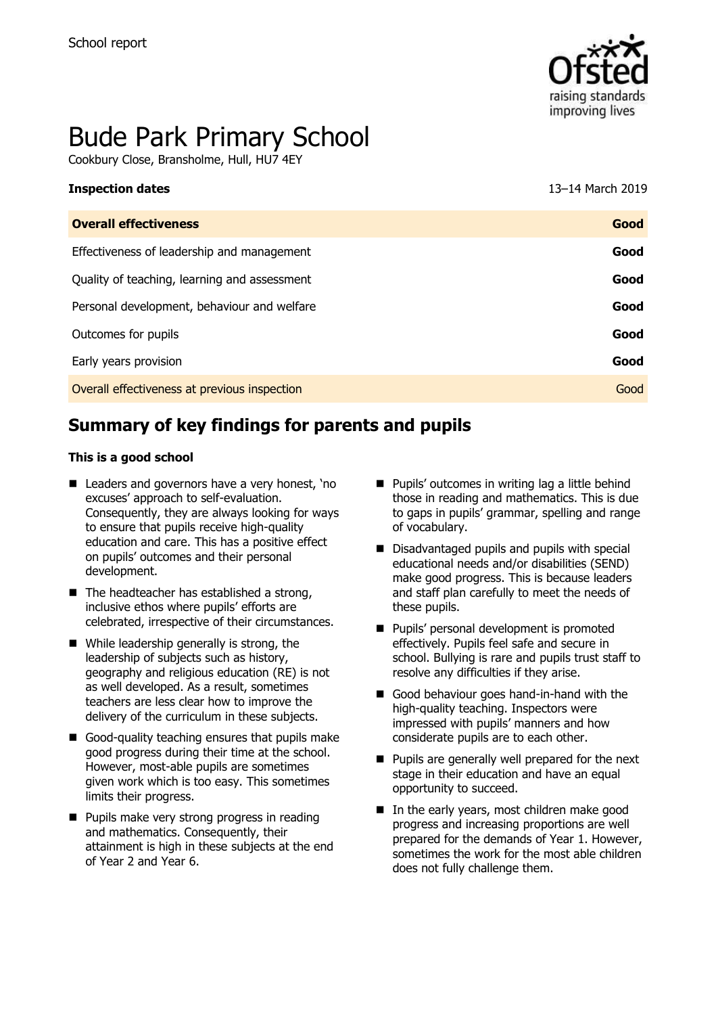

# Bude Park Primary School

Cookbury Close, Bransholme, Hull, HU7 4EY

| <b>Inspection dates</b>                      | 13–14 March 2019 |
|----------------------------------------------|------------------|
| <b>Overall effectiveness</b>                 | Good             |
| Effectiveness of leadership and management   | Good             |
| Quality of teaching, learning and assessment | Good             |
| Personal development, behaviour and welfare  | Good             |
| Outcomes for pupils                          | Good             |
| Early years provision                        | Good             |
| Overall effectiveness at previous inspection | Good             |
|                                              |                  |

# **Summary of key findings for parents and pupils**

#### **This is a good school**

- Leaders and governors have a very honest, 'no excuses' approach to self-evaluation. Consequently, they are always looking for ways to ensure that pupils receive high-quality education and care. This has a positive effect on pupils' outcomes and their personal development.
- $\blacksquare$  The headteacher has established a strong, inclusive ethos where pupils' efforts are celebrated, irrespective of their circumstances.
- While leadership generally is strong, the leadership of subjects such as history, geography and religious education (RE) is not as well developed. As a result, sometimes teachers are less clear how to improve the delivery of the curriculum in these subjects.
- Good-quality teaching ensures that pupils make good progress during their time at the school. However, most-able pupils are sometimes given work which is too easy. This sometimes limits their progress.
- **Pupils make very strong progress in reading** and mathematics. Consequently, their attainment is high in these subjects at the end of Year 2 and Year 6.
- **Pupils' outcomes in writing lag a little behind** those in reading and mathematics. This is due to gaps in pupils' grammar, spelling and range of vocabulary.
- Disadvantaged pupils and pupils with special educational needs and/or disabilities (SEND) make good progress. This is because leaders and staff plan carefully to meet the needs of these pupils.
- **Pupils' personal development is promoted** effectively. Pupils feel safe and secure in school. Bullying is rare and pupils trust staff to resolve any difficulties if they arise.
- Good behaviour goes hand-in-hand with the high-quality teaching. Inspectors were impressed with pupils' manners and how considerate pupils are to each other.
- **Pupils are generally well prepared for the next** stage in their education and have an equal opportunity to succeed.
- In the early years, most children make good progress and increasing proportions are well prepared for the demands of Year 1. However, sometimes the work for the most able children does not fully challenge them.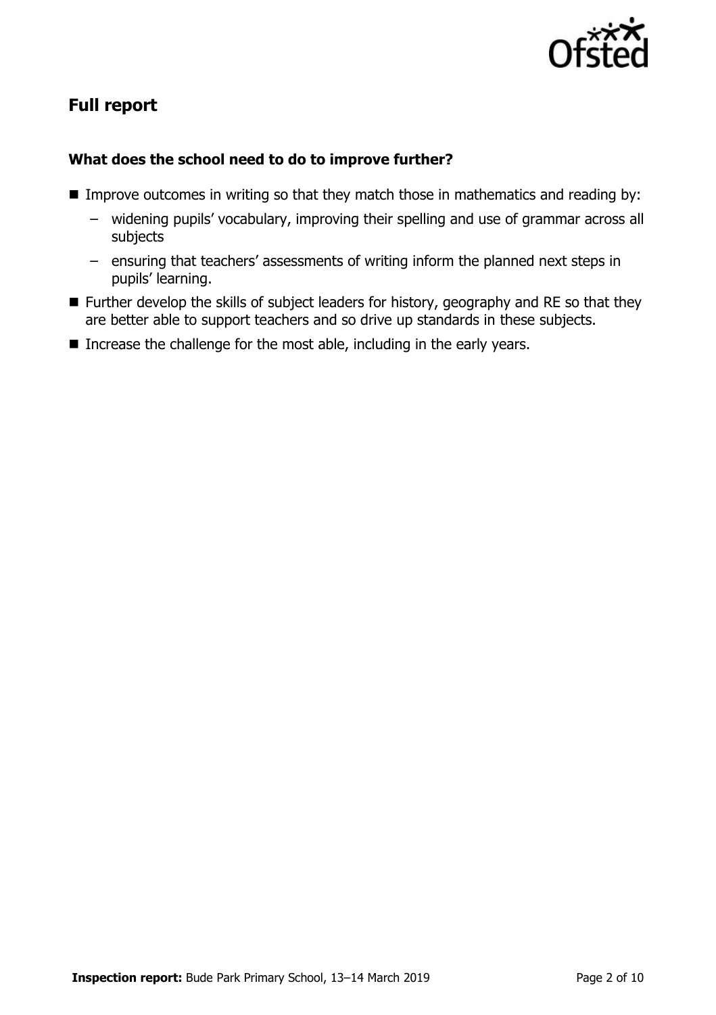

# **Full report**

#### **What does the school need to do to improve further?**

- **IMPROVE OUTCOMES IN WRITED SO that they match those in mathematics and reading by:** 
	- widening pupils' vocabulary, improving their spelling and use of grammar across all subjects
	- ensuring that teachers' assessments of writing inform the planned next steps in pupils' learning.
- **Further develop the skills of subject leaders for history, geography and RE so that they** are better able to support teachers and so drive up standards in these subjects.
- Increase the challenge for the most able, including in the early years.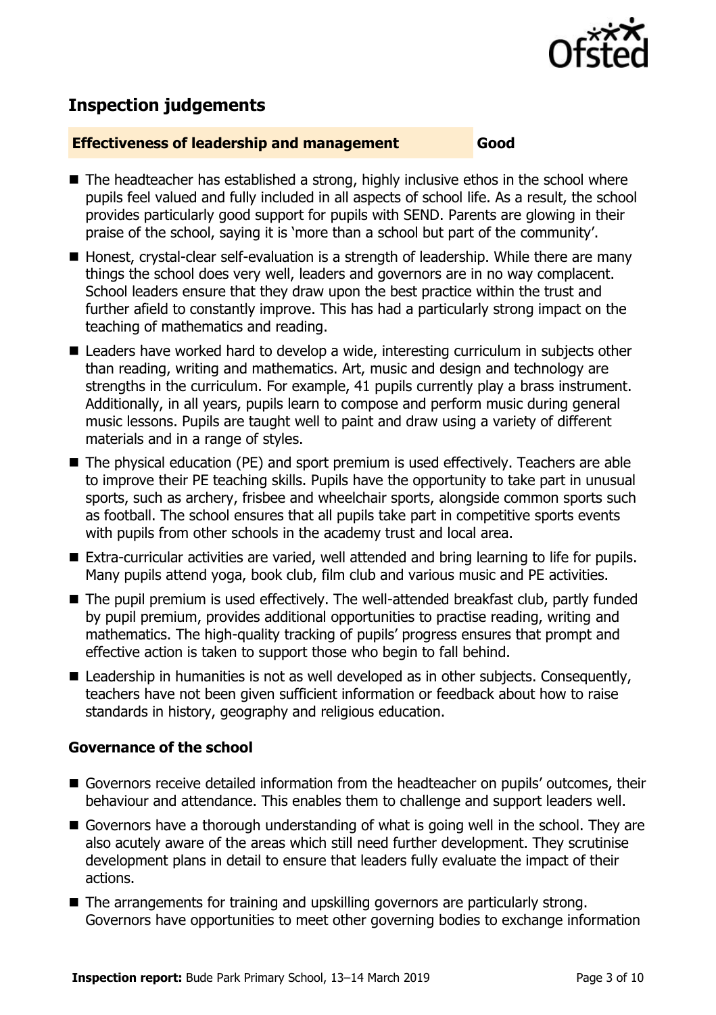

# **Inspection judgements**

#### **Effectiveness of leadership and management Good**

- The headteacher has established a strong, highly inclusive ethos in the school where pupils feel valued and fully included in all aspects of school life. As a result, the school provides particularly good support for pupils with SEND. Parents are glowing in their praise of the school, saying it is 'more than a school but part of the community'.
- Honest, crystal-clear self-evaluation is a strength of leadership. While there are many things the school does very well, leaders and governors are in no way complacent. School leaders ensure that they draw upon the best practice within the trust and further afield to constantly improve. This has had a particularly strong impact on the teaching of mathematics and reading.
- Leaders have worked hard to develop a wide, interesting curriculum in subjects other than reading, writing and mathematics. Art, music and design and technology are strengths in the curriculum. For example, 41 pupils currently play a brass instrument. Additionally, in all years, pupils learn to compose and perform music during general music lessons. Pupils are taught well to paint and draw using a variety of different materials and in a range of styles.
- The physical education (PE) and sport premium is used effectively. Teachers are able to improve their PE teaching skills. Pupils have the opportunity to take part in unusual sports, such as archery, frisbee and wheelchair sports, alongside common sports such as football. The school ensures that all pupils take part in competitive sports events with pupils from other schools in the academy trust and local area.
- Extra-curricular activities are varied, well attended and bring learning to life for pupils. Many pupils attend yoga, book club, film club and various music and PE activities.
- The pupil premium is used effectively. The well-attended breakfast club, partly funded by pupil premium, provides additional opportunities to practise reading, writing and mathematics. The high-quality tracking of pupils' progress ensures that prompt and effective action is taken to support those who begin to fall behind.
- $\blacksquare$  Leadership in humanities is not as well developed as in other subjects. Consequently, teachers have not been given sufficient information or feedback about how to raise standards in history, geography and religious education.

### **Governance of the school**

- Governors receive detailed information from the headteacher on pupils' outcomes, their behaviour and attendance. This enables them to challenge and support leaders well.
- Governors have a thorough understanding of what is going well in the school. They are also acutely aware of the areas which still need further development. They scrutinise development plans in detail to ensure that leaders fully evaluate the impact of their actions.
- The arrangements for training and upskilling governors are particularly strong. Governors have opportunities to meet other governing bodies to exchange information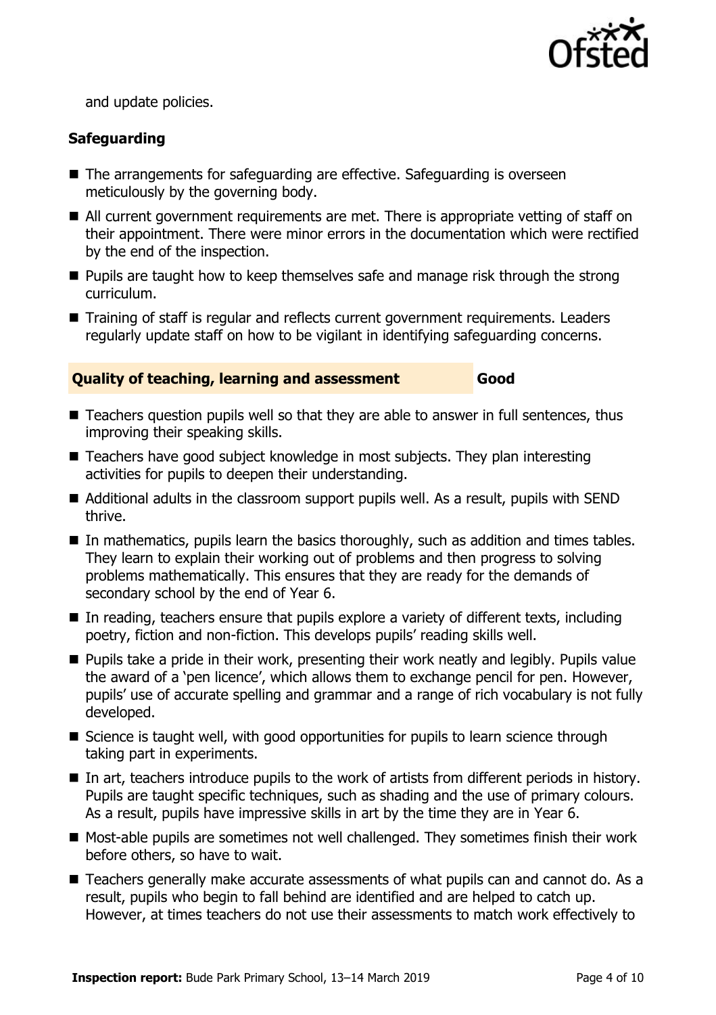

and update policies.

### **Safeguarding**

- The arrangements for safeguarding are effective. Safeguarding is overseen meticulously by the governing body.
- All current government requirements are met. There is appropriate vetting of staff on their appointment. There were minor errors in the documentation which were rectified by the end of the inspection.
- **Pupils are taught how to keep themselves safe and manage risk through the strong** curriculum.
- Training of staff is regular and reflects current government requirements. Leaders regularly update staff on how to be vigilant in identifying safeguarding concerns.

#### **Quality of teaching, learning and assessment Good**

- Teachers question pupils well so that they are able to answer in full sentences, thus improving their speaking skills.
- Teachers have good subject knowledge in most subjects. They plan interesting activities for pupils to deepen their understanding.
- Additional adults in the classroom support pupils well. As a result, pupils with SEND thrive.
- In mathematics, pupils learn the basics thoroughly, such as addition and times tables. They learn to explain their working out of problems and then progress to solving problems mathematically. This ensures that they are ready for the demands of secondary school by the end of Year 6.
- $\blacksquare$  In reading, teachers ensure that pupils explore a variety of different texts, including poetry, fiction and non-fiction. This develops pupils' reading skills well.
- **Pupils take a pride in their work, presenting their work neatly and legibly. Pupils value** the award of a 'pen licence', which allows them to exchange pencil for pen. However, pupils' use of accurate spelling and grammar and a range of rich vocabulary is not fully developed.
- $\blacksquare$  Science is taught well, with good opportunities for pupils to learn science through taking part in experiments.
- In art, teachers introduce pupils to the work of artists from different periods in history. Pupils are taught specific techniques, such as shading and the use of primary colours. As a result, pupils have impressive skills in art by the time they are in Year 6.
- Most-able pupils are sometimes not well challenged. They sometimes finish their work before others, so have to wait.
- Teachers generally make accurate assessments of what pupils can and cannot do. As a result, pupils who begin to fall behind are identified and are helped to catch up. However, at times teachers do not use their assessments to match work effectively to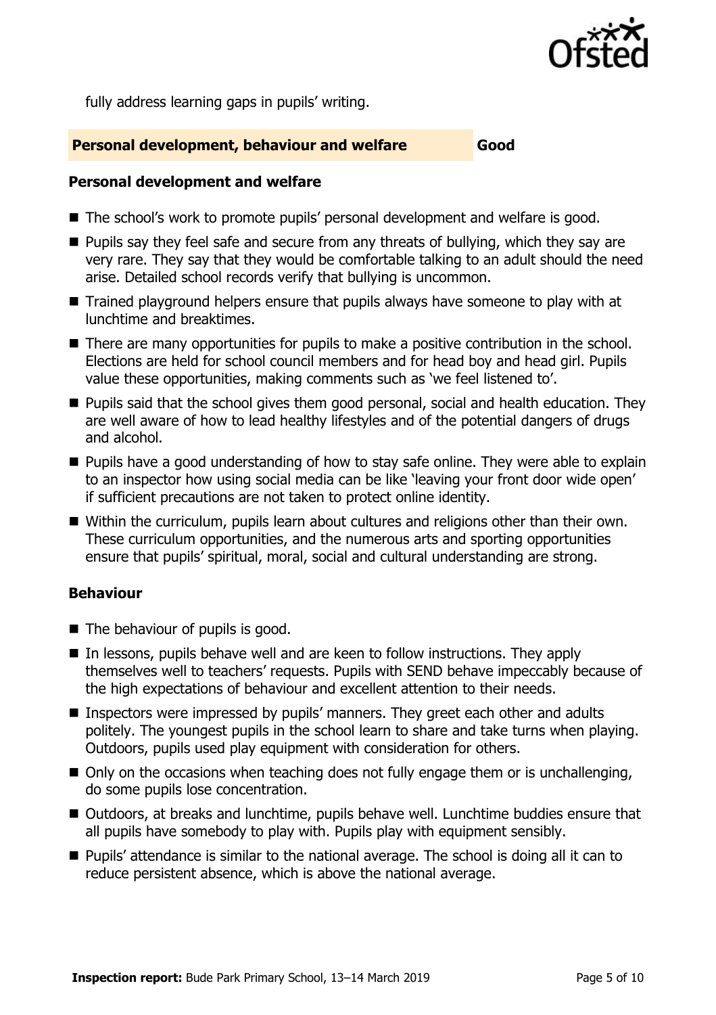

fully address learning gaps in pupils' writing.

#### **Personal development, behaviour and welfare Good**

#### **Personal development and welfare**

- The school's work to promote pupils' personal development and welfare is good.
- $\blacksquare$  Pupils say they feel safe and secure from any threats of bullying, which they say are very rare. They say that they would be comfortable talking to an adult should the need arise. Detailed school records verify that bullying is uncommon.
- Trained playground helpers ensure that pupils always have someone to play with at lunchtime and breaktimes.
- There are many opportunities for pupils to make a positive contribution in the school. Elections are held for school council members and for head boy and head girl. Pupils value these opportunities, making comments such as 'we feel listened to'.
- **Pupils said that the school gives them good personal, social and health education. They** are well aware of how to lead healthy lifestyles and of the potential dangers of drugs and alcohol.
- **Pupils have a good understanding of how to stay safe online. They were able to explain** to an inspector how using social media can be like 'leaving your front door wide open' if sufficient precautions are not taken to protect online identity.
- Within the curriculum, pupils learn about cultures and religions other than their own. These curriculum opportunities, and the numerous arts and sporting opportunities ensure that pupils' spiritual, moral, social and cultural understanding are strong.

### **Behaviour**

- The behaviour of pupils is good.
- In lessons, pupils behave well and are keen to follow instructions. They apply themselves well to teachers' requests. Pupils with SEND behave impeccably because of the high expectations of behaviour and excellent attention to their needs.
- Inspectors were impressed by pupils' manners. They greet each other and adults politely. The youngest pupils in the school learn to share and take turns when playing. Outdoors, pupils used play equipment with consideration for others.
- $\blacksquare$  Only on the occasions when teaching does not fully engage them or is unchallenging, do some pupils lose concentration.
- Outdoors, at breaks and lunchtime, pupils behave well. Lunchtime buddies ensure that all pupils have somebody to play with. Pupils play with equipment sensibly.
- Pupils' attendance is similar to the national average. The school is doing all it can to reduce persistent absence, which is above the national average.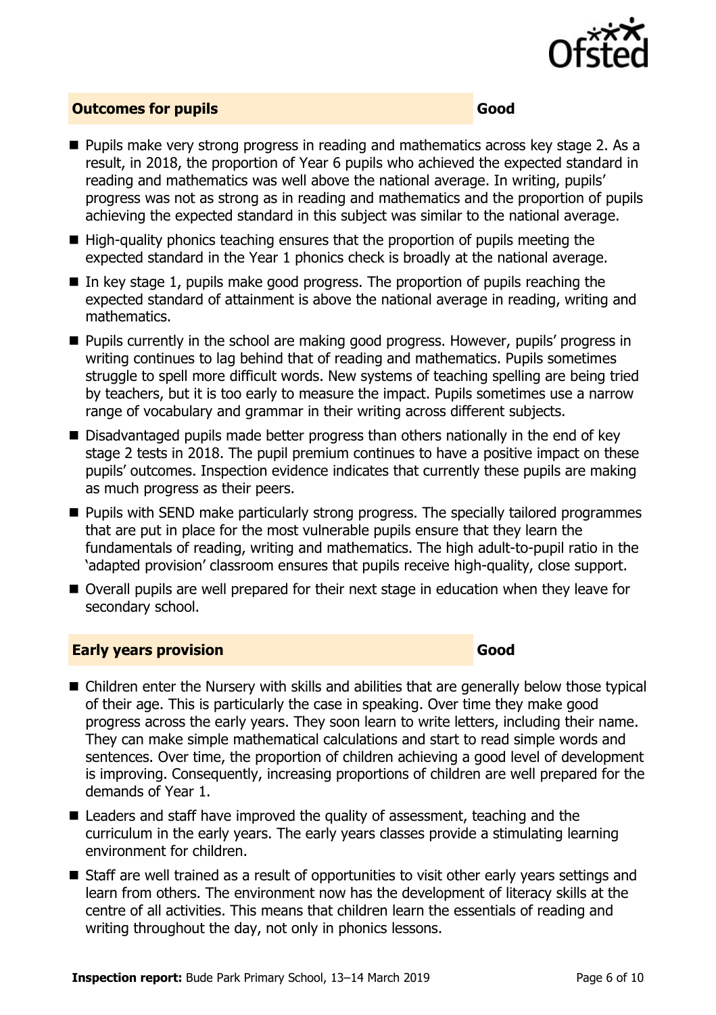

### **Outcomes for pupils Good**

- Pupils make very strong progress in reading and mathematics across key stage 2. As a result, in 2018, the proportion of Year 6 pupils who achieved the expected standard in reading and mathematics was well above the national average. In writing, pupils' progress was not as strong as in reading and mathematics and the proportion of pupils achieving the expected standard in this subject was similar to the national average.
- High-quality phonics teaching ensures that the proportion of pupils meeting the expected standard in the Year 1 phonics check is broadly at the national average.
- In key stage 1, pupils make good progress. The proportion of pupils reaching the expected standard of attainment is above the national average in reading, writing and mathematics.
- **Pupils currently in the school are making good progress. However, pupils' progress in** writing continues to lag behind that of reading and mathematics. Pupils sometimes struggle to spell more difficult words. New systems of teaching spelling are being tried by teachers, but it is too early to measure the impact. Pupils sometimes use a narrow range of vocabulary and grammar in their writing across different subjects.
- Disadvantaged pupils made better progress than others nationally in the end of key stage 2 tests in 2018. The pupil premium continues to have a positive impact on these pupils' outcomes. Inspection evidence indicates that currently these pupils are making as much progress as their peers.
- **Pupils with SEND make particularly strong progress. The specially tailored programmes** that are put in place for the most vulnerable pupils ensure that they learn the fundamentals of reading, writing and mathematics. The high adult-to-pupil ratio in the 'adapted provision' classroom ensures that pupils receive high-quality, close support.
- Overall pupils are well prepared for their next stage in education when they leave for secondary school.

#### **Early years provision Good Good**

- Children enter the Nursery with skills and abilities that are generally below those typical of their age. This is particularly the case in speaking. Over time they make good progress across the early years. They soon learn to write letters, including their name. They can make simple mathematical calculations and start to read simple words and sentences. Over time, the proportion of children achieving a good level of development is improving. Consequently, increasing proportions of children are well prepared for the demands of Year 1.
- Leaders and staff have improved the quality of assessment, teaching and the curriculum in the early years. The early years classes provide a stimulating learning environment for children.
- Staff are well trained as a result of opportunities to visit other early years settings and learn from others. The environment now has the development of literacy skills at the centre of all activities. This means that children learn the essentials of reading and writing throughout the day, not only in phonics lessons.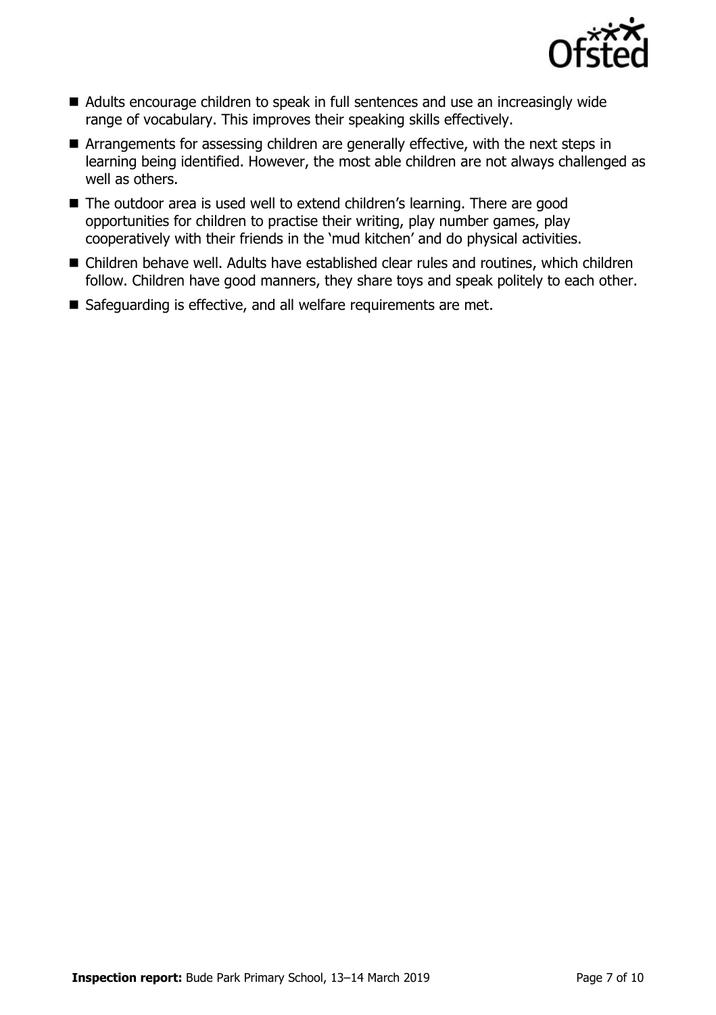

- Adults encourage children to speak in full sentences and use an increasingly wide range of vocabulary. This improves their speaking skills effectively.
- Arrangements for assessing children are generally effective, with the next steps in learning being identified. However, the most able children are not always challenged as well as others.
- The outdoor area is used well to extend children's learning. There are good opportunities for children to practise their writing, play number games, play cooperatively with their friends in the 'mud kitchen' and do physical activities.
- Children behave well. Adults have established clear rules and routines, which children follow. Children have good manners, they share toys and speak politely to each other.
- Safeguarding is effective, and all welfare requirements are met.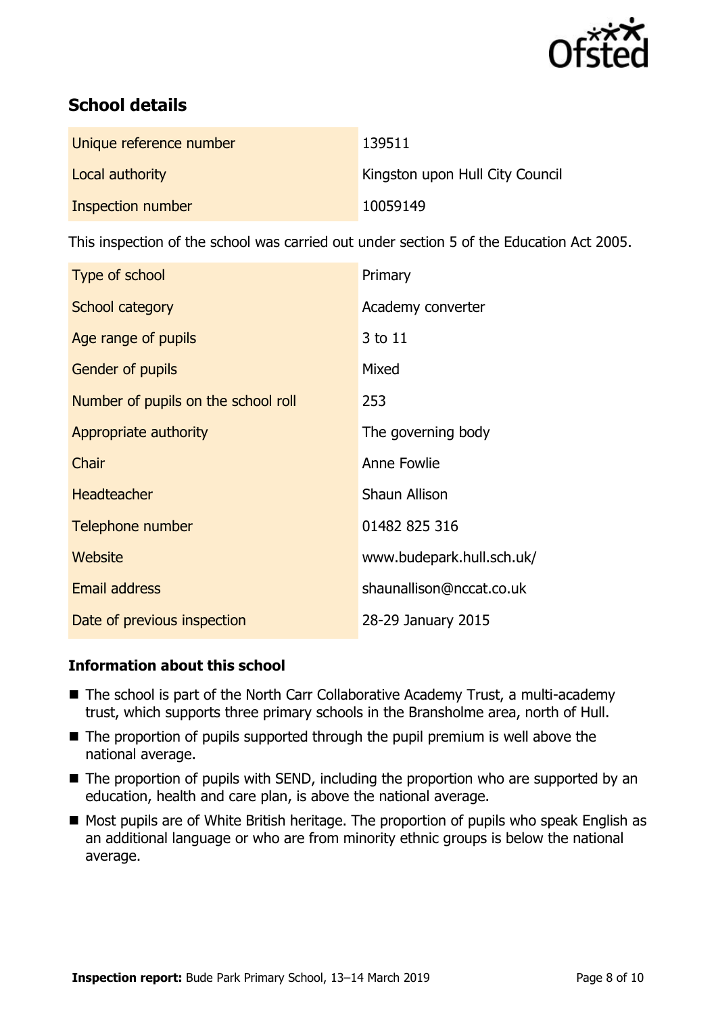

# **School details**

| Unique reference number | 139511                          |
|-------------------------|---------------------------------|
| Local authority         | Kingston upon Hull City Council |
| Inspection number       | 10059149                        |

This inspection of the school was carried out under section 5 of the Education Act 2005.

| Type of school                      | Primary                   |
|-------------------------------------|---------------------------|
| School category                     | Academy converter         |
| Age range of pupils                 | 3 to 11                   |
| Gender of pupils                    | Mixed                     |
| Number of pupils on the school roll | 253                       |
| Appropriate authority               | The governing body        |
| Chair                               | Anne Fowlie               |
| <b>Headteacher</b>                  | Shaun Allison             |
| Telephone number                    | 01482 825 316             |
| <b>Website</b>                      | www.budepark.hull.sch.uk/ |
| <b>Email address</b>                | shaunallison@nccat.co.uk  |
| Date of previous inspection         | 28-29 January 2015        |

### **Information about this school**

- The school is part of the North Carr Collaborative Academy Trust, a multi-academy trust, which supports three primary schools in the Bransholme area, north of Hull.
- The proportion of pupils supported through the pupil premium is well above the national average.
- The proportion of pupils with SEND, including the proportion who are supported by an education, health and care plan, is above the national average.
- Most pupils are of White British heritage. The proportion of pupils who speak English as an additional language or who are from minority ethnic groups is below the national average.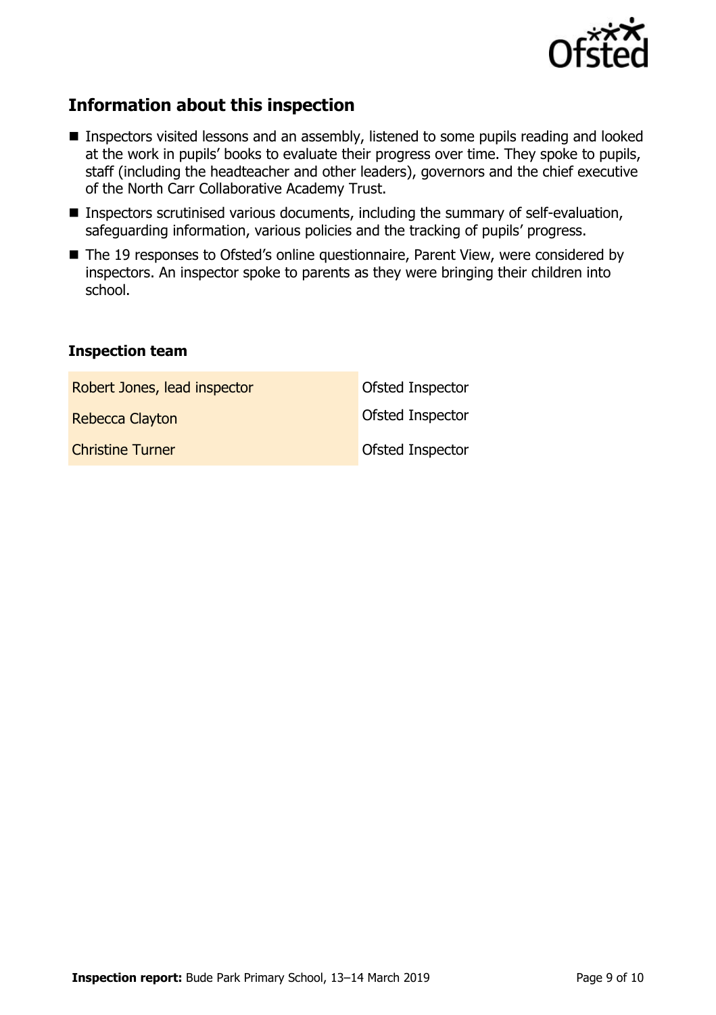

# **Information about this inspection**

- **Inspectors visited lessons and an assembly, listened to some pupils reading and looked** at the work in pupils' books to evaluate their progress over time. They spoke to pupils, staff (including the headteacher and other leaders), governors and the chief executive of the North Carr Collaborative Academy Trust.
- Inspectors scrutinised various documents, including the summary of self-evaluation, safeguarding information, various policies and the tracking of pupils' progress.
- The 19 responses to Ofsted's online questionnaire, Parent View, were considered by inspectors. An inspector spoke to parents as they were bringing their children into school.

#### **Inspection team**

| Robert Jones, lead inspector | Ofsted Inspector |
|------------------------------|------------------|
| Rebecca Clayton              | Ofsted Inspector |
| <b>Christine Turner</b>      | Ofsted Inspector |